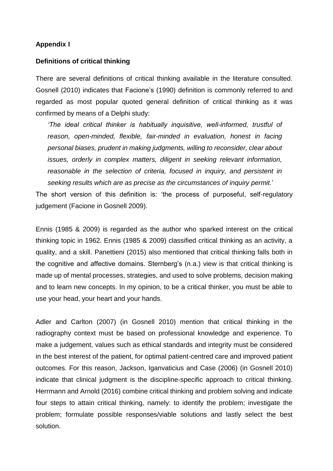### **Appendix I**

#### **Definitions of critical thinking**

There are several definitions of critical thinking available in the literature consulted. Gosnell (2010) indicates that Facione's (1990) definition is commonly referred to and regarded as most popular quoted general definition of critical thinking as it was confirmed by means of a Delphi study:

*'The ideal critical thinker is habitually inquisitive, well-informed, trustful of*  reason, open-minded, flexible, fair-minded in evaluation, honest in facing *personal biases, prudent in making judgments, willing to reconsider, clear about issues, orderly in complex matters, diligent in seeking relevant information, reasonable in the selection of criteria, focused in inquiry, and persistent in seeking results which are as precise as the circumstances of inquiry permit.*'

The short version of this definition is: 'the process of purposeful, self-regulatory judgement (Facione in Gosnell 2009).

Ennis (1985 & 2009) is regarded as the author who sparked interest on the critical thinking topic in 1962. Ennis (1985 & 2009) classified critical thinking as an activity, a quality, and a skill. Panettieni (2015) also mentioned that critical thinking falls both in the cognitive and affective domains. Sternberg's (n.a.) view is that critical thinking is made up of mental processes, strategies, and used to solve problems, decision making and to learn new concepts. In my opinion, to be a critical thinker, you must be able to use your head, your heart and your hands.

Adler and Carlton (2007) (in Gosnell 2010) mention that critical thinking in the radiography context must be based on professional knowledge and experience. To make a judgement, values such as ethical standards and integrity must be considered in the best interest of the patient, for optimal patient-centred care and improved patient outcomes. For this reason, Jackson, Iganvaticius and Case (2006) (in Gosnell 2010) indicate that clinical judgment is the discipline-specific approach to critical thinking. Herrmann and Arnold (2016) combine critical thinking and problem solving and indicate four steps to attain critical thinking, namely: to identify the problem; investigate the problem; formulate possible responses/viable solutions and lastly select the best solution.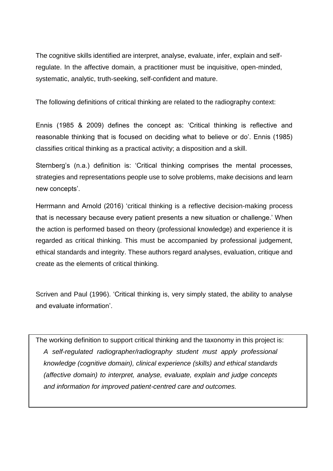The cognitive skills identified are interpret, analyse, evaluate, infer, explain and selfregulate. In the affective domain, a practitioner must be inquisitive, open-minded, systematic, analytic, truth-seeking, self-confident and mature.

The following definitions of critical thinking are related to the radiography context:

Ennis (1985 & 2009) defines the concept as: 'Critical thinking is reflective and reasonable thinking that is focused on deciding what to believe or do'. Ennis (1985) classifies critical thinking as a practical activity; a disposition and a skill.

Sternberg's (n.a.) definition is: 'Critical thinking comprises the mental processes, strategies and representations people use to solve problems, make decisions and learn new concepts'.

Herrmann and Arnold (2016) 'critical thinking is a reflective decision-making process that is necessary because every patient presents a new situation or challenge.' When the action is performed based on theory (professional knowledge) and experience it is regarded as critical thinking. This must be accompanied by professional judgement, ethical standards and integrity. These authors regard analyses, evaluation, critique and create as the elements of critical thinking.

Scriven and Paul (1996). 'Critical thinking is, very simply stated, the ability to analyse and evaluate information'.

The working definition to support critical thinking and the taxonomy in this project is: *A self-regulated radiographer/radiography student must apply professional knowledge (cognitive domain), clinical experience (skills) and ethical standards (affective domain) to interpret, analyse, evaluate, explain and judge concepts and information for improved patient-centred care and outcomes.*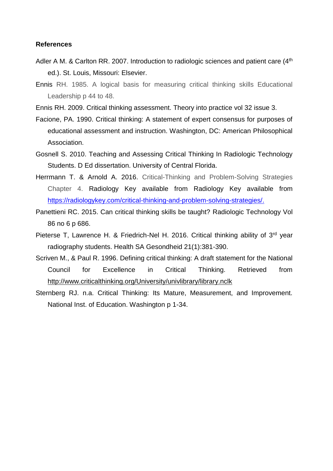#### **References**

- Adler A M. & Carlton RR. 2007. Introduction to radiologic sciences and patient care  $(4<sup>th</sup>)$ ed.). St. Louis, Missouri: Elsevier.
- [Ennis](file:///C:/ennis) RH. 1985. A logical basis for measuring critical thinking skills Educational Leadership p 44 to 48.
- Ennis RH. 2009. Critical thinking assessment. Theory into practice vol 32 issue 3.
- Facione, PA. 1990. Critical thinking: A statement of expert consensus for purposes of educational assessment and instruction. Washington, DC: American Philosophical Association.
- Gosnell S. 2010. Teaching and Assessing Critical Thinking In Radiologic Technology Students. D Ed dissertation. University of Central Florida.
- Herrmann T. & Arnold A. 2016. Critical-Thinking and Problem-Solving Strategies Chapter 4. Radiology Key available from Radiology Key available from https://radiologykey.com/critical-thinking-and-problem-solying-strategies/.
- Panettieni RC. 2015. Can critical thinking skills be taught? Radiologic Technology Vol 86 no 6 p 686.
- Pieterse T, Lawrence H. & Friedrich-Nel H. 2016. Critical thinking ability of 3<sup>rd</sup> year radiography students. Health SA Gesondheid 21(1):381-390.
- Scriven M., & Paul R. 1996. Defining critical thinking: A draft statement for the National Council for Excellence in Critical Thinking. Retrieved from <http://www.criticalthinking.org/University/univlibrary/library.nclk>
- Sternberg RJ. n.a. Critical Thinking: Its Mature, Measurement, and Improvement. National Inst. of Education. Washington p 1-34.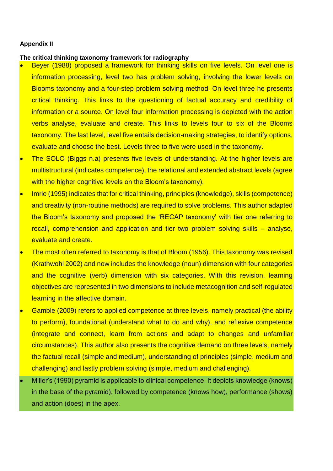#### **Appendix II**

### **The critical thinking taxonomy framework for radiography**

- Beyer (1988) proposed a framework for thinking skills on five levels. On level one is information processing, level two has problem solving, involving the lower levels on Blooms taxonomy and a four-step problem solving method. On level three he presents critical thinking. This links to the questioning of factual accuracy and credibility of information or a source. On level four information processing is depicted with the action verbs analyse, evaluate and create. This links to levels four to six of the Blooms taxonomy. The last level, level five entails decision-making strategies, to identify options, evaluate and choose the best. Levels three to five were used in the taxonomy.
- The SOLO (Biggs n.a) presents five levels of understanding. At the higher levels are multistructural (indicates competence), the relational and extended abstract levels (agree with the higher cognitive levels on the Bloom's taxonomy).
- Imrie (1995) indicates that for critical thinking, principles (knowledge), skills (competence) and creativity (non-routine methods) are required to solve problems. This author adapted the Bloom's taxonomy and proposed the 'RECAP taxonomy' with tier one referring to recall, comprehension and application and tier two problem solving skills – analyse, evaluate and create.
- The most often referred to taxonomy is that of Bloom (1956). This taxonomy was revised (Krathwohl 2002) and now includes the knowledge (noun) dimension with four categories and the cognitive (verb) dimension with six categories. With this revision, learning objectives are represented in two dimensions to include metacognition and self-regulated learning in the affective domain.
- Gamble (2009) refers to applied competence at three levels, namely practical (the ability to perform), foundational (understand what to do and why), and reflexive competence (integrate and connect, learn from actions and adapt to changes and unfamiliar circumstances). This author also presents the cognitive demand on three levels, namely the factual recall (simple and medium), understanding of principles (simple, medium and challenging) and lastly problem solving (simple, medium and challenging).
- Miller's (1990) pyramid is applicable to clinical competence. It depicts knowledge (knows) in the base of the pyramid), followed by competence (knows how), performance (shows) and action (does) in the apex.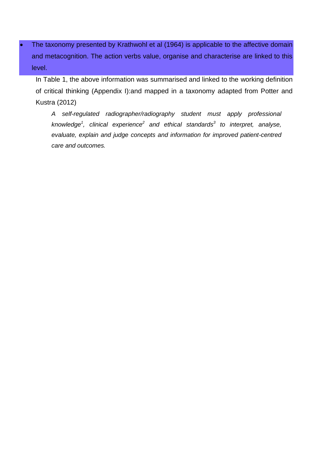The taxonomy presented by Krathwohl et al (1964) is applicable to the affective domain and metacognition. The action verbs value, organise and characterise are linked to this level.

In Table 1, the above information was summarised and linked to the working definition of critical thinking (Appendix I):and mapped in a taxonomy adapted from Potter and Kustra (2012)

*A self-regulated radiographer/radiography student must apply professional knowledge<sup>1</sup> , clinical experience<sup>2</sup> and ethical standards<sup>3</sup> to interpret, analyse, evaluate, explain and judge concepts and information for improved patient-centred care and outcomes.*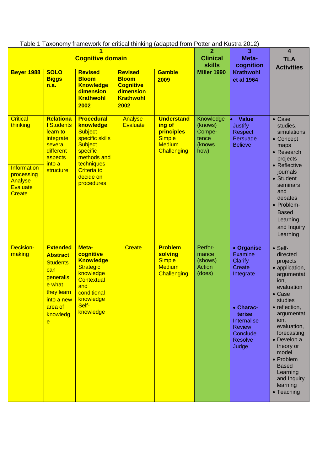| $\alpha$ and $\alpha$ reason only traditional for chacar trilling (duapted from Fotter and Kustla 2012)<br><b>Cognitive domain</b> |                                                                                                                                                        |                                                                                                                                                                                 |                                                                                             | $\mathbf{2}$<br><b>Clinical</b>                                                                   | 3<br>Meta-                                                | $\overline{\mathbf{4}}$<br><b>TLA</b>                                                                                                                               |                                                                                                                                                                                                                                                                                                                        |
|------------------------------------------------------------------------------------------------------------------------------------|--------------------------------------------------------------------------------------------------------------------------------------------------------|---------------------------------------------------------------------------------------------------------------------------------------------------------------------------------|---------------------------------------------------------------------------------------------|---------------------------------------------------------------------------------------------------|-----------------------------------------------------------|---------------------------------------------------------------------------------------------------------------------------------------------------------------------|------------------------------------------------------------------------------------------------------------------------------------------------------------------------------------------------------------------------------------------------------------------------------------------------------------------------|
| <b>Beyer 1988</b>                                                                                                                  | <b>SOLO</b><br><b>Biggs</b><br>n.a.                                                                                                                    | <b>Revised</b><br><b>Bloom</b><br><b>Knowledge</b><br>dimension<br><b>Krathwohl</b><br>2002                                                                                     | <b>Revised</b><br><b>Bloom</b><br><b>Cognitive</b><br>dimension<br><b>Krathwohl</b><br>2002 | <b>Gamble</b><br>2009                                                                             | <b>skills</b><br>Miller 1990                              | cognition<br><b>Krathwohl</b><br>et al 1964                                                                                                                         | <b>Activities</b>                                                                                                                                                                                                                                                                                                      |
| <b>Critical</b><br>thinking<br><b>Information</b><br>processing<br>Analyse<br><b>Evaluate</b><br><b>Create</b>                     | <b>Relationa</b><br><b>I</b> Students<br>learn to<br>integrate<br>several<br>different<br>aspects<br>into a<br>structure                               | <b>Procedural</b><br>knowledge<br><b>Subject</b><br>specific skills<br><b>Subject</b><br>specific<br>methods and<br>techniques<br><b>Criteria to</b><br>decide on<br>procedures | <b>Analyse</b><br><b>Evaluate</b>                                                           | <b>Understand</b><br>ing of<br>principles<br><b>Simple</b><br><b>Medium</b><br><b>Challenging</b> | Knowledge<br>(knows)<br>Compe-<br>tence<br>(knows<br>how) | <b>Value</b><br><b>Justify</b><br>Respect<br>Persuade<br><b>Believe</b>                                                                                             | $\bullet$ Case<br>studies,<br>simulations<br>• Concept<br>maps<br>• Research<br>projects<br>• Reflective<br>journals<br>• Student<br>seminars<br>and<br>debates<br>• Problem-<br><b>Based</b><br>Learning<br>and Inquiry<br>Learning                                                                                   |
| Decision-<br>making                                                                                                                | <b>Extended</b><br><b>Abstract</b><br><b>Students</b><br>can<br>generalis<br>e what<br>they learn<br>into a new<br>area of<br>knowledg<br>$\mathbf{e}$ | Meta-<br>cognitive<br><b>Knowledge</b><br><b>Strategic</b><br>knowledge<br><b>Contextual</b><br>and<br>conditional<br>knowledge<br>Self-<br>knowledge                           | <b>Create</b>                                                                               | <b>Problem</b><br>solving<br><b>Simple</b><br><b>Medium</b><br><b>Challenging</b>                 | Perfor-<br>mance<br>(shows)<br>Action<br>(does)           | • Organise<br><b>Examine</b><br>Clarify<br><b>Create</b><br>Integrate<br>• Charac-<br>terise<br>Internalise<br><b>Review</b><br>Conclude<br><b>Resolve</b><br>Judge | $\bullet$ Self-<br>directed<br>projects<br>• application,<br>argumentat<br>ion,<br>evaluation<br>$\bullet$ Case<br>studies<br>• reflection,<br>argumentat<br>ion,<br>evaluation,<br>forecasting<br>• Develop a<br>theory or<br>model<br>• Problem<br><b>Based</b><br>Learning<br>and Inquiry<br>learning<br>• Teaching |

Table 1 Taxonomy framework for critical thinking (adapted from Potter and Kustra 2012)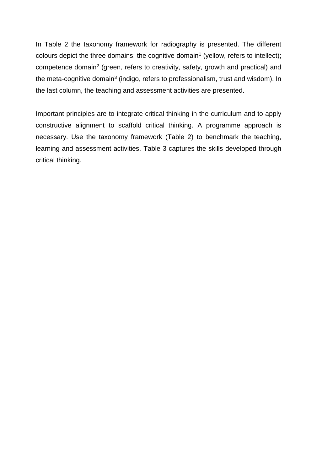In Table 2 the taxonomy framework for radiography is presented. The different colours depict the three domains: the cognitive domain<sup>1</sup> (yellow, refers to intellect); competence domain<sup>2</sup> (green, refers to creativity, safety, growth and practical) and the meta-cognitive domain<sup>3</sup> (indigo, refers to professionalism, trust and wisdom). In the last column, the teaching and assessment activities are presented.

Important principles are to integrate critical thinking in the curriculum and to apply constructive alignment to scaffold critical thinking. A programme approach is necessary. Use the taxonomy framework (Table 2) to benchmark the teaching, learning and assessment activities. Table 3 captures the skills developed through critical thinking.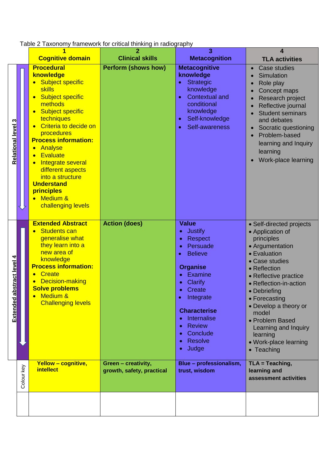Table 2 Taxonomy framework for critical thinking in radiography

|                              |            |                                                                                                                                                                                                                                                                                                                                                                                                                                                                       | namonomo, or onloan ammang<br>                   | 3                                                                                                                                                                                                                                                                            | 4                                                                                                                                                                                                                                                                                                                                                   |
|------------------------------|------------|-----------------------------------------------------------------------------------------------------------------------------------------------------------------------------------------------------------------------------------------------------------------------------------------------------------------------------------------------------------------------------------------------------------------------------------------------------------------------|--------------------------------------------------|------------------------------------------------------------------------------------------------------------------------------------------------------------------------------------------------------------------------------------------------------------------------------|-----------------------------------------------------------------------------------------------------------------------------------------------------------------------------------------------------------------------------------------------------------------------------------------------------------------------------------------------------|
|                              |            | <b>Cognitive domain</b>                                                                                                                                                                                                                                                                                                                                                                                                                                               | <b>Clinical skills</b>                           | <b>Metacognition</b>                                                                                                                                                                                                                                                         | <b>TLA activities</b>                                                                                                                                                                                                                                                                                                                               |
| <b>Relational level 3</b>    |            | <b>Procedural</b><br>knowledge<br>Subject specific<br><b>skills</b><br><b>Subject specific</b><br>$\bullet$<br>methods<br><b>Subject specific</b><br>$\bullet$<br>techniques<br>Criteria to decide on<br>$\bullet$<br>procedures<br><b>Process information:</b><br>Analyse<br>$\bullet$<br><b>Evaluate</b><br>$\bullet$<br>Integrate several<br>different aspects<br>into a structure<br><b>Understand</b><br>principles<br><b>Medium &amp;</b><br>challenging levels | <b>Perform (shows how)</b>                       | <b>Metacognitive</b><br>knowledge<br><b>Strategic</b><br>knowledge<br><b>Contextual and</b><br>conditional<br>knowledge<br>Self-knowledge<br>$\bullet$<br>Self-awareness                                                                                                     | Case studies<br>$\bullet$<br>Simulation<br>Role play<br>Concept maps<br>Research project<br>Reflective journal<br><b>Student seminars</b><br>and debates<br>Socratic questioning<br>Problem-based<br>learning and Inquiry<br>learning<br>Work-place learning                                                                                        |
| abstract level 4<br>Extended |            | <b>Extended Abstract</b><br><b>Students can</b><br>generalise what<br>they learn into a<br>new area of<br>knowledge<br><b>Process information:</b><br><b>Create</b><br>$\bullet$<br><b>Decision-making</b><br><b>Solve problems</b><br>Medium &<br><b>Challenging levels</b>                                                                                                                                                                                          | <b>Action (does)</b>                             | <b>Value</b><br><b>Justify</b><br><b>Respect</b><br>Persuade<br><b>Believe</b><br><b>Organise</b><br>Examine<br>Clarify<br>Create<br>Integrate<br><b>Characterise</b><br>Internalise<br>$\bullet$<br><b>Review</b><br>$\bullet$<br>Conclude<br>$\bullet$<br>Resolve<br>Judge | • Self-directed projects<br>• Application of<br>principles<br>• Argumentation<br>• Evaluation<br>• Case studies<br>• Reflection<br>• Reflective practice<br>• Reflection-in-action<br>• Debriefing<br>• Forecasting<br>• Develop a theory or<br>model<br>• Problem Based<br>Learning and Inquiry<br>learning<br>• Work-place learning<br>• Teaching |
|                              | Colour key | <b>Yellow - cognitive,</b><br><i>intellect</i>                                                                                                                                                                                                                                                                                                                                                                                                                        | Green - creativity,<br>growth, safety, practical | Blue - professionalism,<br>trust, wisdom                                                                                                                                                                                                                                     | $TLA = Teaching,$<br>learning and<br>assessment activities                                                                                                                                                                                                                                                                                          |
|                              |            |                                                                                                                                                                                                                                                                                                                                                                                                                                                                       |                                                  |                                                                                                                                                                                                                                                                              |                                                                                                                                                                                                                                                                                                                                                     |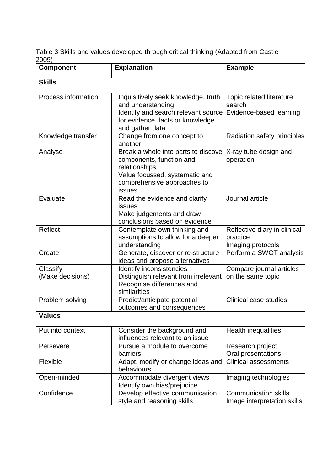Table 3 Skills and values developed through critical thinking (Adapted from Castle 2009)

| <b>Component</b>             | <b>Explanation</b>                                                                                                                                           | <b>Example</b>                                                |
|------------------------------|--------------------------------------------------------------------------------------------------------------------------------------------------------------|---------------------------------------------------------------|
| <b>Skills</b>                |                                                                                                                                                              |                                                               |
| Process information          | Inquisitively seek knowledge, truth<br>and understanding<br>Identify and search relevant source<br>for evidence, facts or knowledge<br>and gather data       | Topic related literature<br>search<br>Evidence-based learning |
| Knowledge transfer           | Change from one concept to<br>another                                                                                                                        | Radiation safety principles                                   |
| Analyse                      | Break a whole into parts to discovel<br>components, function and<br>relationships<br>Value focussed, systematic and<br>comprehensive approaches to<br>issues | X-ray tube design and<br>operation                            |
| Evaluate                     | Read the evidence and clarify<br>issues<br>Make judgements and draw<br>conclusions based on evidence                                                         | Journal article                                               |
| <b>Reflect</b>               | Contemplate own thinking and<br>assumptions to allow for a deeper<br>understanding                                                                           | Reflective diary in clinical<br>practice<br>Imaging protocols |
| Create                       | Generate, discover or re-structure<br>ideas and propose alternatives                                                                                         | Perform a SWOT analysis                                       |
| Classify<br>(Make decisions) | Identify inconsistencies<br>Distinguish relevant from irrelevant<br>Recognise differences and<br>similarities                                                | Compare journal articles<br>on the same topic                 |
| Problem solving              | Predict/anticipate potential<br>outcomes and consequences                                                                                                    | <b>Clinical case studies</b>                                  |
| <b>Values</b>                |                                                                                                                                                              |                                                               |
| Put into context             | Consider the background and<br>influences relevant to an issue                                                                                               | <b>Health inequalities</b>                                    |
| Persevere                    | Pursue a module to overcome<br>barriers                                                                                                                      | Research project<br>Oral presentations                        |
| Flexible                     | Adapt, modify or change ideas and<br>behaviours                                                                                                              | <b>Clinical assessments</b>                                   |
| Open-minded                  | Accommodate divergent views<br>Identify own bias/prejudice                                                                                                   | Imaging technologies                                          |
| Confidence                   | Develop effective communication<br>style and reasoning skills                                                                                                | <b>Communication skills</b><br>Image interpretation skills    |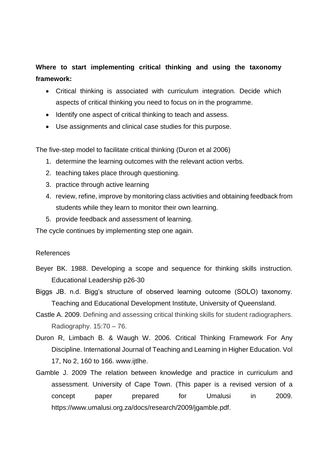# **Where to start implementing critical thinking and using the taxonomy framework:**

- Critical thinking is associated with curriculum integration. Decide which aspects of critical thinking you need to focus on in the programme.
- Identify one aspect of critical thinking to teach and assess.
- Use assignments and clinical case studies for this purpose.

The five-step model to facilitate critical thinking (Duron et al 2006)

- 1. determine the learning outcomes with the relevant action verbs.
- 2. teaching takes place through questioning.
- 3. practice through active learning
- 4. review, refine, improve by monitoring class activities and obtaining feedback from students while they learn to monitor their own learning.
- 5. provide feedback and assessment of learning.

The cycle continues by implementing step one again.

## References

- Beyer BK. 1988. Developing a scope and sequence for thinking skills instruction. Educational Leadership p26-30
- Biggs JB. n.d. Bigg's structure of observed learning outcome (SOLO) taxonomy. Teaching and Educational Development Institute, University of Queensland.
- Castle A. 2009. Defining and assessing critical thinking skills for student radiographers. Radiography.  $15:70 - 76$ .
- Duron R, Limbach B. & Waugh W. 2006. Critical Thinking Framework For Any Discipline. International Journal of Teaching and Learning in Higher Education. Vol 17, No 2, 160 to 166. www.ijtlhe.
- Gamble J. 2009 The relation between knowledge and practice in curriculum and assessment. University of Cape Town. (This paper is a revised version of a concept paper prepared for Umalusi in 2009. https://www.umalusi.org.za/docs/research/2009/jgamble.pdf.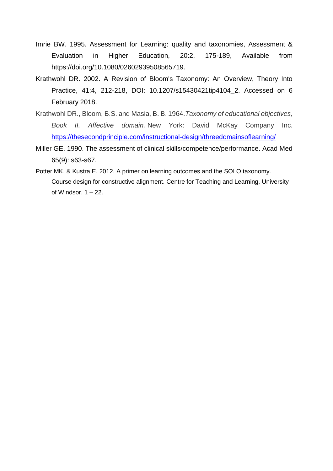- Imrie BW. 1995. Assessment for Learning: quality and taxonomies, Assessment & Evaluation in Higher Education, 20:2, 175-189, Available from https://doi.org/10.1080/02602939508565719.
- Krathwohl DR. 2002. A Revision of Bloom's Taxonomy: An Overview, Theory Into Practice, 41:4, 212-218, DOI: 10.1207/s15430421tip4104\_2. Accessed on 6 February 2018.
- Krathwohl DR., Bloom, B.S. and Masia, B. B. 1964.*Taxonomy of educational objectives, Book II. Affective domain.* New York: David McKay Company Inc. <https://thesecondprinciple.com/instructional-design/threedomainsoflearning/>
- Miller GE. 1990. The assessment of clinical skills/competence/performance. Acad Med 65(9): s63-s67.
- Potter MK, & Kustra E. 2012. A primer on learning outcomes and the SOLO taxonomy. Course design for constructive alignment. Centre for Teaching and Learning, University of Windsor.  $1 - 22$ .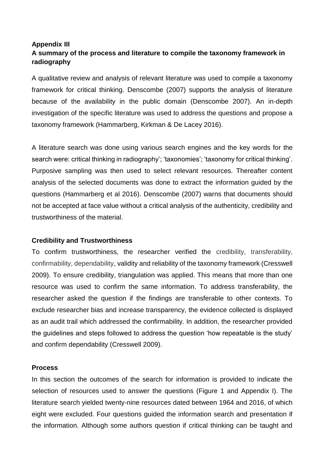# **Appendix III A summary of the process and literature to compile the taxonomy framework in radiography**

A qualitative review and analysis of relevant literature was used to compile a taxonomy framework for critical thinking. Denscombe (2007) supports the analysis of literature because of the availability in the public domain (Denscombe 2007). An in-depth investigation of the specific literature was used to address the questions and propose a taxonomy framework (Hammarberg, Kirkman & De Lacey 2016).

A literature search was done using various search engines and the key words for the search were: critical thinking in radiography'; 'taxonomies'; 'taxonomy for critical thinking'. Purposive sampling was then used to select relevant resources. Thereafter content analysis of the selected documents was done to extract the information guided by the questions (Hammarberg et al 2016). Denscombe (2007) warns that documents should not be accepted at face value without a critical analysis of the authenticity, credibility and trustworthiness of the material.

### **Credibility and Trustworthiness**

To confirm trustworthiness, the researcher verified the credibility, transferability, confirmability, dependability, validity and reliability of the taxonomy framework (Cresswell 2009). To ensure credibility, triangulation was applied. This means that more than one resource was used to confirm the same information. To address transferability, the researcher asked the question if the findings are transferable to other contexts. To exclude researcher bias and increase transparency, the evidence collected is displayed as an audit trail which addressed the confirmability. In addition, the researcher provided the guidelines and steps followed to address the question 'how repeatable is the study' and confirm dependability (Cresswell 2009).

#### **Process**

In this section the outcomes of the search for information is provided to indicate the selection of resources used to answer the questions (Figure 1 and Appendix I). The literature search yielded twenty-nine resources dated between 1964 and 2016, of which eight were excluded. Four questions guided the information search and presentation if the information. Although some authors question if critical thinking can be taught and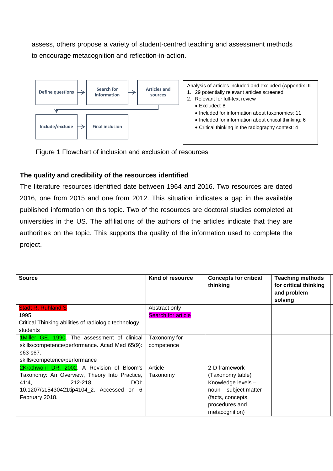assess, others propose a variety of student-centred teaching and assessment methods to encourage metacognition and reflection-in-action.



Figure 1 Flowchart of inclusion and exclusion of resources

# **The quality and credibility of the resources identified**

The literature resources identified date between 1964 and 2016. Two resources are dated 2016, one from 2015 and one from 2012. This situation indicates a gap in the available published information on this topic. Two of the resources are doctoral studies completed at universities in the US. The affiliations of the authors of the articles indicate that they are authorities on the topic. This supports the quality of the information used to complete the project.

| <b>Source</b>                                        | Kind of resource          | <b>Concepts for critical</b><br>thinking | <b>Teaching methods</b><br>for critical thinking<br>and problem<br>solving |
|------------------------------------------------------|---------------------------|------------------------------------------|----------------------------------------------------------------------------|
| <b>Stadt R, Ruhland S</b>                            | Abstract only             |                                          |                                                                            |
| 1995                                                 | <b>Search for article</b> |                                          |                                                                            |
| Critical Thinking abilities of radiologic technology |                           |                                          |                                                                            |
| students                                             |                           |                                          |                                                                            |
| 1Miller GE. 1990. The assessment of clinical         | Taxonomy for              |                                          |                                                                            |
| skills/competence/performance. Acad Med 65(9):       | competence                |                                          |                                                                            |
| s63-s67.                                             |                           |                                          |                                                                            |
| skills/competence/performance                        |                           |                                          |                                                                            |
| 2Krathwohl DR. 2002. A Revision of Bloom's           | Article                   | 2-D framework                            |                                                                            |
| Taxonomy: An Overview, Theory Into Practice,         | Taxonomy                  | (Taxonomy table)                         |                                                                            |
| $212 - 218$<br>DOI:<br>41:4,                         |                           | Knowledge levels -                       |                                                                            |
| 10.1207/s15430421tip4104_2. Accessed on 6            |                           | noun - subject matter                    |                                                                            |
| February 2018.                                       |                           | (facts, concepts,                        |                                                                            |
|                                                      |                           | procedures and                           |                                                                            |
|                                                      |                           | metacognition)                           |                                                                            |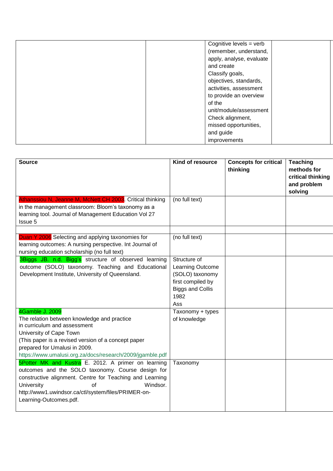| Cognitive levels = verb  |
|--------------------------|
| (remember, understand,   |
| apply, analyse, evaluate |
| and create               |
| Classify goals,          |
| objectives, standards,   |
| activities, assessment   |
| to provide an overview   |
| of the                   |
| unit/module/assessment   |
| Check alignment,         |
| missed opportunities,    |
| and guide                |
| improvements             |

| <b>Source</b>                                                                                                                                                                                                                                                                                | Kind of resource                                                                                                   | <b>Concepts for critical</b><br>thinking | <b>Teaching</b><br>methods for<br>critical thinking<br>and problem<br>solving |
|----------------------------------------------------------------------------------------------------------------------------------------------------------------------------------------------------------------------------------------------------------------------------------------------|--------------------------------------------------------------------------------------------------------------------|------------------------------------------|-------------------------------------------------------------------------------|
| Athanssiou N, Jeanne M, McNett CH 2003. Critical thinking<br>in the management classroom: Bloom's taxonomy as a<br>learning tool. Journal of Management Education Vol 27<br>Issue 5                                                                                                          | (no full text)                                                                                                     |                                          |                                                                               |
| Duan Y 2006 Selecting and applying taxonomies for<br>learning outcomes: A nursing perspective. Int Journal of<br>nursing education scholarship (no full text)                                                                                                                                | (no full text)                                                                                                     |                                          |                                                                               |
| 3Biggs JB. n.d. Bigg's structure of observed learning<br>outcome (SOLO) taxonomy. Teaching and Educational<br>Development Institute, University of Queensland.                                                                                                                               | Structure of<br>Learning Outcome<br>(SOLO) taxonomy<br>first compiled by<br><b>Biggs and Collis</b><br>1982<br>Ass |                                          |                                                                               |
| 4Gamble J. 2009<br>The relation between knowledge and practice<br>in curriculum and assessment<br>University of Cape Town<br>(This paper is a revised version of a concept paper<br>prepared for Umalusi in 2009.<br>https://www.umalusi.org.za/docs/research/2009/jgamble.pdf               | Taxonomy + types<br>of knowledge                                                                                   |                                          |                                                                               |
| 5Potter MK and Kustra E. 2012. A primer on learning<br>outcomes and the SOLO taxonomy. Course design for<br>constructive alignment. Centre for Teaching and Learning<br>Windsor.<br><b>University</b><br>of<br>http://www1.uwindsor.ca/ctl/system/files/PRIMER-on-<br>Learning-Outcomes.pdf. | Taxonomy                                                                                                           |                                          |                                                                               |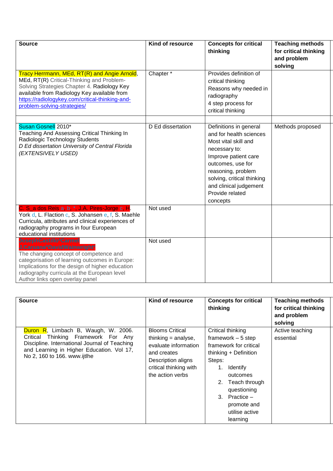| <b>Source</b>                                                                                                                                                                                                                                                                                                                   | Kind of resource  | <b>Concepts for critical</b><br>thinking                                                                                                                                                                                                             | <b>Teaching methods</b><br>for critical thinking<br>and problem<br>solving |
|---------------------------------------------------------------------------------------------------------------------------------------------------------------------------------------------------------------------------------------------------------------------------------------------------------------------------------|-------------------|------------------------------------------------------------------------------------------------------------------------------------------------------------------------------------------------------------------------------------------------------|----------------------------------------------------------------------------|
| Tracy Herrmann, MEd, RT(R) and Angie Arnold,<br>MEd, RT(R) Critical-Thinking and Problem-<br>Solving Strategies Chapter 4. Radiology Key<br>available from Radiology Key available from<br>https://radiologykey.com/critical-thinking-and-<br>problem-solving-strategies/                                                       | Chapter*          | Provides definition of<br>critical thinking<br>Reasons why needed in<br>radiography<br>4 step process for<br>critical thinking                                                                                                                       |                                                                            |
| Susan Gosnell 2010*<br>Teaching And Assessing Critical Thinking In<br>Radiologic Technology Students<br>D Ed dissertation University of Central Florida<br>(EXTENSIVELY USED)                                                                                                                                                   | D Ed dissertation | Definitions in general<br>and for health sciences<br>Most vital skill and<br>necessary to:<br>Improve patient care<br>outcomes, use for<br>reasoning, problem<br>solving, critical thinking<br>and clinical judgement<br>Provide related<br>concepts | Methods proposed                                                           |
| C. S_a dos Reis a, b, *, J.A. Pires-Jorge c, H.<br>York d, L. Flaction c, S. Johansen e, f, S. Maehle<br>Curricula, attributes and clinical experiences of<br>radiography programs in four European<br>educational institutions                                                                                                 | Not used          |                                                                                                                                                                                                                                                      |                                                                            |
| <b>JosephCastillo<sup>a</sup>Carmel</b><br>J.Caruana <sup>b</sup> DavidWainwright <sup>o</sup><br>The changing concept of competence and<br>categorisation of learning outcomes in Europe:<br>Implications for the design of higher education<br>radiography curricula at the European level<br>Author links open overlay panel | Not used          |                                                                                                                                                                                                                                                      |                                                                            |

| <b>Source</b>                                                                                                                                                                                               | Kind of resource                                                                                                                                           | <b>Concepts for critical</b><br>thinking                                                                                                                                                                                                  | <b>Teaching methods</b><br>for critical thinking<br>and problem<br>solving |
|-------------------------------------------------------------------------------------------------------------------------------------------------------------------------------------------------------------|------------------------------------------------------------------------------------------------------------------------------------------------------------|-------------------------------------------------------------------------------------------------------------------------------------------------------------------------------------------------------------------------------------------|----------------------------------------------------------------------------|
| Duron R, Limbach B, Waugh, W. 2006.<br>Thinking Framework For Any<br>Critical<br>Discipline. International Journal of Teaching<br>and Learning in Higher Education. Vol 17,<br>No 2, 160 to 166. www.ijtlhe | <b>Blooms Critical</b><br>thinking $=$ analyse,<br>evaluate information<br>and creates<br>Description aligns<br>critical thinking with<br>the action verbs | Critical thinking<br>framework $-5$ step<br>framework for critical<br>thinking + Definition<br>Steps:<br>Identify<br>1.<br>outcomes<br>Teach through<br>2.<br>questioning<br>3. Practice $-$<br>promote and<br>utilise active<br>learning | Active teaching<br>essential                                               |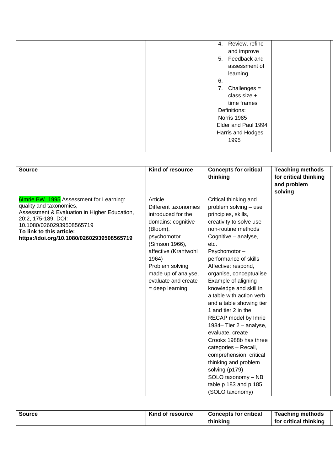| Review, refine<br>4.                                            |
|-----------------------------------------------------------------|
| and improve                                                     |
| 5. Feedback and                                                 |
| assessment of                                                   |
| learning                                                        |
| 6.                                                              |
| 7.<br>Challenges $=$                                            |
| class size +                                                    |
| time frames                                                     |
| Definitions:                                                    |
|                                                                 |
|                                                                 |
|                                                                 |
|                                                                 |
|                                                                 |
| Norris 1985<br>Elder and Paul 1994<br>Harris and Hodges<br>1995 |

| <b>Source</b>                                                                                                                                                                                                                                    | Kind of resource                                                                                                                                                                                                                                | <b>Concepts for critical</b><br>thinking                                                                                                                                                                                                                                                                                                                                                                                                                                                                                                                                                                                                          | <b>Teaching methods</b><br>for critical thinking<br>and problem<br>solving |
|--------------------------------------------------------------------------------------------------------------------------------------------------------------------------------------------------------------------------------------------------|-------------------------------------------------------------------------------------------------------------------------------------------------------------------------------------------------------------------------------------------------|---------------------------------------------------------------------------------------------------------------------------------------------------------------------------------------------------------------------------------------------------------------------------------------------------------------------------------------------------------------------------------------------------------------------------------------------------------------------------------------------------------------------------------------------------------------------------------------------------------------------------------------------------|----------------------------------------------------------------------------|
| 6Imrie BW. 1995 Assessment for Learning:<br>quality and taxonomies,<br>Assessment & Evaluation in Higher Education,<br>20:2, 175-189, DOI:<br>10.1080/02602939508565719<br>To link to this article:<br>https://doi.org/10.1080/02602939508565719 | Article<br>Different taxonomies<br>introduced for the<br>domains: cognitive<br>(Bloom),<br>psychomotor<br>(Simson 1966),<br>affective (Krahtwohl<br>1964)<br>Problem solving<br>made up of analyse,<br>evaluate and create<br>$=$ deep learning | Critical thinking and<br>problem solving - use<br>principles, skills,<br>creativity to solve use<br>non-routine methods<br>Cognitive - analyse,<br>etc.<br>Psychomotor-<br>performance of skills<br>Affective: respond,<br>organise, conceptualise<br>Example of aligning<br>knowledge and skill in<br>a table with action verb<br>and a table showing tier<br>1 and tier 2 in the<br>RECAP model by Imrie<br>1984-Tier 2 - analyse,<br>evaluate, create<br>Crooks 1988b has three<br>categories - Recall,<br>comprehension, critical<br>thinking and problem<br>solving (p179)<br>SOLO taxonomy - NB<br>table p 183 and p 185<br>(SOLO taxonomy) |                                                                            |

| <b>Source</b> | Kind of resource | <b>Concepts for critical</b> | <b>Teaching methods</b> |  |
|---------------|------------------|------------------------------|-------------------------|--|
|               |                  | thinking                     | for critical thinking   |  |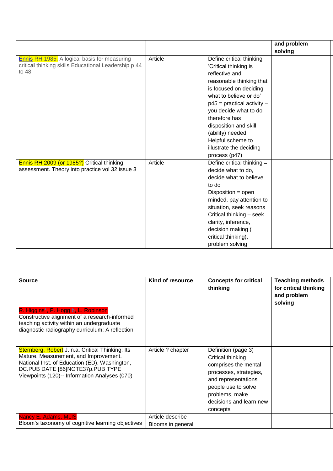|                                                                                                                      |         |                                                                                                                                                                                                                                                                                                                                             | and problem |
|----------------------------------------------------------------------------------------------------------------------|---------|---------------------------------------------------------------------------------------------------------------------------------------------------------------------------------------------------------------------------------------------------------------------------------------------------------------------------------------------|-------------|
|                                                                                                                      |         |                                                                                                                                                                                                                                                                                                                                             | solving     |
| <b>Ennis RH 1985.</b> A logical basis for measuring<br>critical thinking skills Educational Leadership p 44<br>to 48 | Article | Define critical thinking<br>'Critical thinking is<br>reflective and<br>reasonable thinking that<br>is focused on deciding<br>what to believe or do'<br>$p45$ = practical activity -<br>you decide what to do<br>therefore has<br>disposition and skill<br>(ability) needed<br>Helpful scheme to<br>illustrate the deciding<br>process (p47) |             |
| Ennis RH 2009 (or 1985?) Critical thinking<br>assessment. Theory into practice vol 32 issue 3                        | Article | Define critical thinking =<br>decide what to do,<br>decide what to believe<br>to do<br>Disposition = open<br>minded, pay attention to<br>situation, seek reasons<br>Critical thinking - seek<br>clarity, inference,<br>decision making (<br>critical thinking),<br>problem solving                                                          |             |

| <b>Source</b>                                                                                                                                                                                                                   | Kind of resource                      | <b>Concepts for critical</b><br>thinking                                                                                                                                                          | <b>Teaching methods</b><br>for critical thinking<br>and problem<br>solving |
|---------------------------------------------------------------------------------------------------------------------------------------------------------------------------------------------------------------------------------|---------------------------------------|---------------------------------------------------------------------------------------------------------------------------------------------------------------------------------------------------|----------------------------------------------------------------------------|
| R. Higgins*, P. Hogg b, L. Robinson<br>Constructive alignment of a research-informed<br>teaching activity within an undergraduate<br>diagnostic radiography curriculum: A reflection                                            |                                       |                                                                                                                                                                                                   |                                                                            |
| Sternberg, Robert J. n.a. Critical Thinking: Its<br>Mature, Measurement, and Improvement.<br>National Inst. of Education (ED), Washington,<br>DC.PUB DATE [86]NOTE37p.PUB TYPE<br>Viewpoints (120)-- Information Analyses (070) | Article ? chapter                     | Definition (page 3)<br>Critical thinking<br>comprises the mental<br>processes, strategies,<br>and representations<br>people use to solve<br>problems, make<br>decisions and learn new<br>concepts |                                                                            |
| <b>Nancy E. Adams, MLIS</b><br>Bloom's taxonomy of cognitive learning objectives                                                                                                                                                | Article describe<br>Blooms in general |                                                                                                                                                                                                   |                                                                            |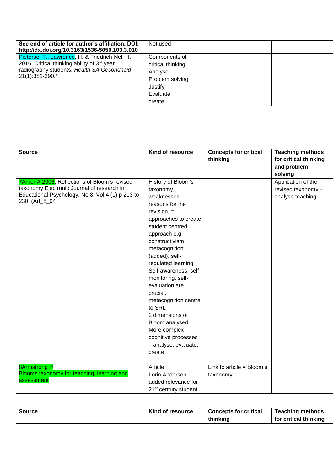| See end of article for author's affiliation. DOI:<br>http://dx.doi.org/10.3163/1536-5050.103.3.010                                                             | Not used                                                                                           |  |
|----------------------------------------------------------------------------------------------------------------------------------------------------------------|----------------------------------------------------------------------------------------------------|--|
| Pieterse, T., Lawrence, H. & Friedrich-Nel, H.<br>2016. Critical thinking ability of 3rd year<br>radiography students. Health SA Gesondheid<br>21(1):381-390.* | Components of<br>critical thinking:<br>Analyse<br>Problem solving<br>Justify<br>Evaluate<br>create |  |

| <b>Source</b>                                                                                                                                                   | Kind of resource                                                                                                                                                                                                                                                                                                                                                                                                                                        | <b>Concepts for critical</b><br>thinking | <b>Teaching methods</b><br>for critical thinking<br>and problem<br>solving |
|-----------------------------------------------------------------------------------------------------------------------------------------------------------------|---------------------------------------------------------------------------------------------------------------------------------------------------------------------------------------------------------------------------------------------------------------------------------------------------------------------------------------------------------------------------------------------------------------------------------------------------------|------------------------------------------|----------------------------------------------------------------------------|
| 7Amer A 2006. Reflections of Bloom's revised<br>taxonomy Electronic Journal of research in<br>Educational Psychology. No 8, Vol 4 (1) p 213 to<br>230 (Art_8_94 | History of Bloom's<br>taxonomy,<br>weaknesses,<br>reasons for the<br>$revision =$<br>approaches to create<br>student centred<br>approach e.g.<br>constructivism,<br>metacognition<br>(added), self-<br>regulated learning<br>Self-awareness, self-<br>monitoring, self-<br>evaluation are<br>crucial,<br>metacognition central<br>to SRL<br>2 dimensions of<br>Bloom analysed.<br>More complex<br>cognitive processes<br>- analyse, evaluate,<br>create |                                          | Application of the<br>revised taxonomy -<br>analyse teaching               |
| <b>8Armstrong P</b><br>Blooms taxonomy for teaching, learning and<br>assessment                                                                                 | Article<br>Lorin Anderson -<br>added relevance for<br>21 <sup>st</sup> century student                                                                                                                                                                                                                                                                                                                                                                  | Link to article = $Bloom's$<br>taxonomy  |                                                                            |

| <b>Source</b> | Kind of resource | <b>Concepts for critical</b> | <b>Teaching methods</b> |
|---------------|------------------|------------------------------|-------------------------|
|               |                  | thinking                     | for critical thinking   |